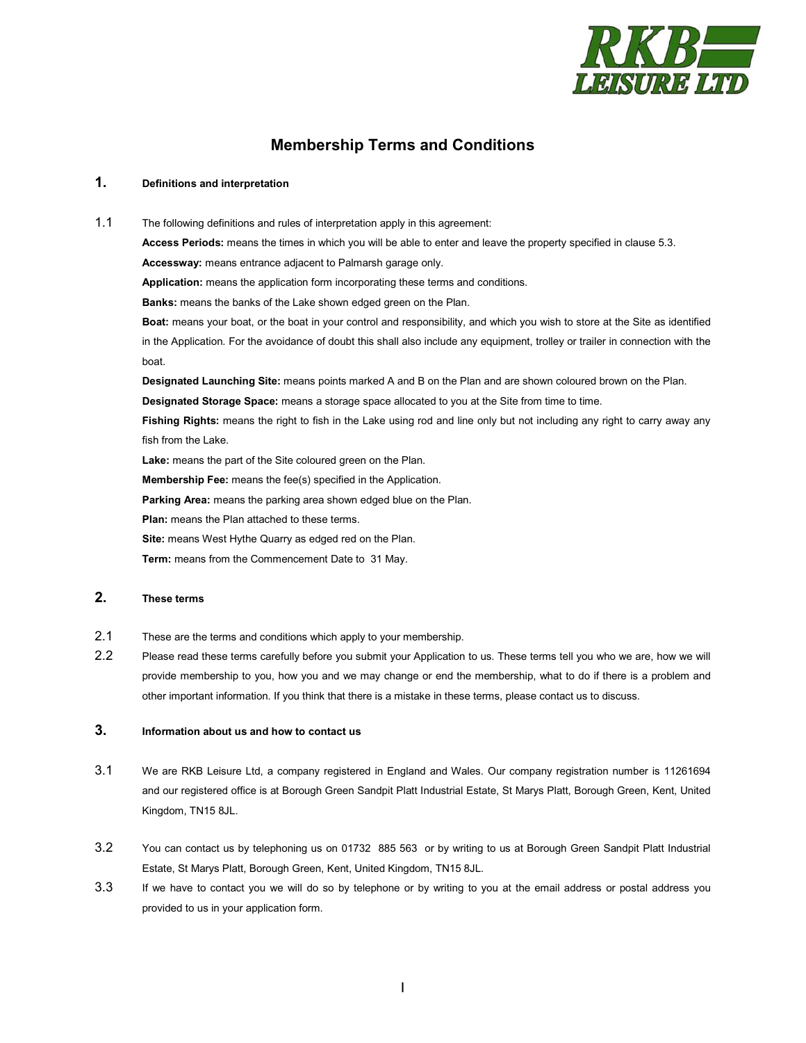

# **Membership Terms and Conditions**

#### **1. Definitions and interpretation**

1.1 The following definitions and rules of interpretation apply in this agreement: **Access Periods:** means the times in which you will be able to enter and leave the property specified in clause [5.3.](#page-1-0) **Accessway:** means entrance adjacent to Palmarsh garage only. **Application:** means the application form incorporating these terms and conditions. **Banks:** means the banks of the Lake shown edged green on the Plan. **Boat:** means your boat, or the boat in your control and responsibility, and which you wish to store at the Site as identified in the Application. For the avoidance of doubt this shall also include any equipment, trolley or trailer in connection with the boat. **Designated Launching Site:** means points marked A and B on the Plan and are shown coloured brown on the Plan. **Designated Storage Space:** means a storage space allocated to you at the Site from time to time. **Fishing Rights:** means the right to fish in the Lake using rod and line only but not including any right to carry away any fish from the Lake.

**Lake:** means the part of the Site coloured green on the Plan.

**Membership Fee:** means the fee(s) specified in the Application.

**Parking Area:** means the parking area shown edged blue on the Plan.

**Plan:** means the Plan attached to these terms.

Site: means West Hythe Quarry as edged red on the Plan.

**Term:** means from the Commencement Date to 31 May.

## **2. These terms**

- 2.1 These are the terms and conditions which apply to your membership.
- 2.2 Please read these terms carefully before you submit your Application to us. These terms tell you who we are, how we will provide membership to you, how you and we may change or end the membership, what to do if there is a problem and other important information. If you think that there is a mistake in these terms, please contact us to discuss.

# **3. Information about us and how to contact us**

- 3.1 We are RKB Leisure Ltd, a company registered in England and Wales. Our company registration number is 11261694 and our registered office is at Borough Green Sandpit Platt Industrial Estate, St Marys Platt, Borough Green, Kent, United Kingdom, TN15 8JL.
- 3.2 You can contact us by telephoning us on 01732 885 563 or by writing to us at Borough Green Sandpit Platt Industrial Estate, St Marys Platt, Borough Green, Kent, United Kingdom, TN15 8JL.
- 3.3 If we have to contact you we will do so by telephone or by writing to you at the email address or postal address you provided to us in your application form.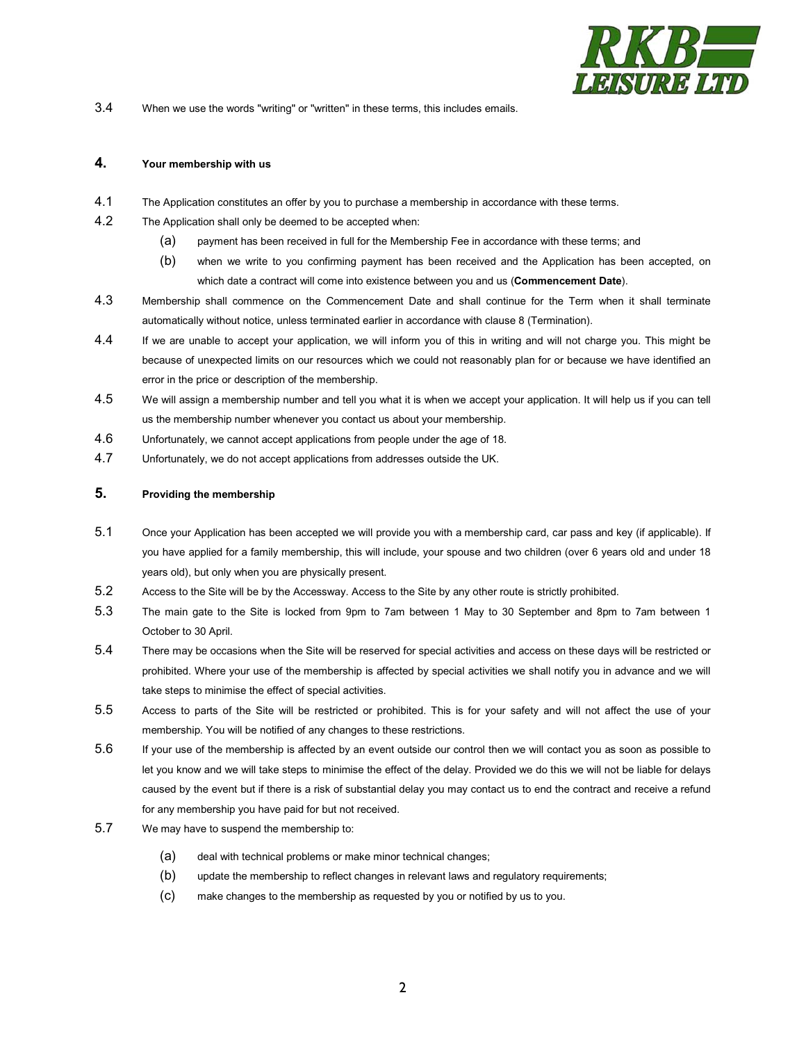

3.4 When we use the words "writing" or "written" in these terms, this includes emails.

#### **4. Your membership with us**

- 4.1 The Application constitutes an offer by you to purchase a membership in accordance with these terms.
- 4.2 The Application shall only be deemed to be accepted when:
	- (a) payment has been received in full for the Membership Fee in accordance with these terms; and
	- (b) when we write to you confirming payment has been received and the Application has been accepted, on which date a contract will come into existence between you and us (**Commencement Date**).
- 4.3 Membership shall commence on the Commencement Date and shall continue for the Term when it shall terminate automatically without notice, unless terminated earlier in accordance with clause [8](#page-4-0) (Termination).
- 4.4 If we are unable to accept your application, we will inform you of this in writing and will not charge you. This might be because of unexpected limits on our resources which we could not reasonably plan for or because we have identified an error in the price or description of the membership.
- 4.5 We will assign a membership number and tell you what it is when we accept your application. It will help us if you can tell us the membership number whenever you contact us about your membership.
- 4.6 Unfortunately, we cannot accept applications from people under the age of 18.
- 4.7 Unfortunately, we do not accept applications from addresses outside the UK.

# **5. Providing the membership**

- 5.1 Once your Application has been accepted we will provide you with a membership card, car pass and key (if applicable). If you have applied for a family membership, this will include, your spouse and two children (over 6 years old and under 18 years old), but only when you are physically present.
- 5.2 Access to the Site will be by the Accessway. Access to the Site by any other route is strictly prohibited.
- <span id="page-1-0"></span>5.3 The main gate to the Site is locked from 9pm to 7am between 1 May to 30 September and 8pm to 7am between 1 October to 30 April.
- 5.4 There may be occasions when the Site will be reserved for special activities and access on these days will be restricted or prohibited. Where your use of the membership is affected by special activities we shall notify you in advance and we will take steps to minimise the effect of special activities.
- 5.5 Access to parts of the Site will be restricted or prohibited. This is for your safety and will not affect the use of your membership. You will be notified of any changes to these restrictions.
- 5.6 If your use of the membership is affected by an event outside our control then we will contact you as soon as possible to let you know and we will take steps to minimise the effect of the delay. Provided we do this we will not be liable for delays caused by the event but if there is a risk of substantial delay you may contact us to end the contract and receive a refund for any membership you have paid for but not received.
- 5.7 We may have to suspend the membership to:
	- (a) deal with technical problems or make minor technical changes;
	- (b) update the membership to reflect changes in relevant laws and regulatory requirements;
	- (c) make changes to the membership as requested by you or notified by us to you.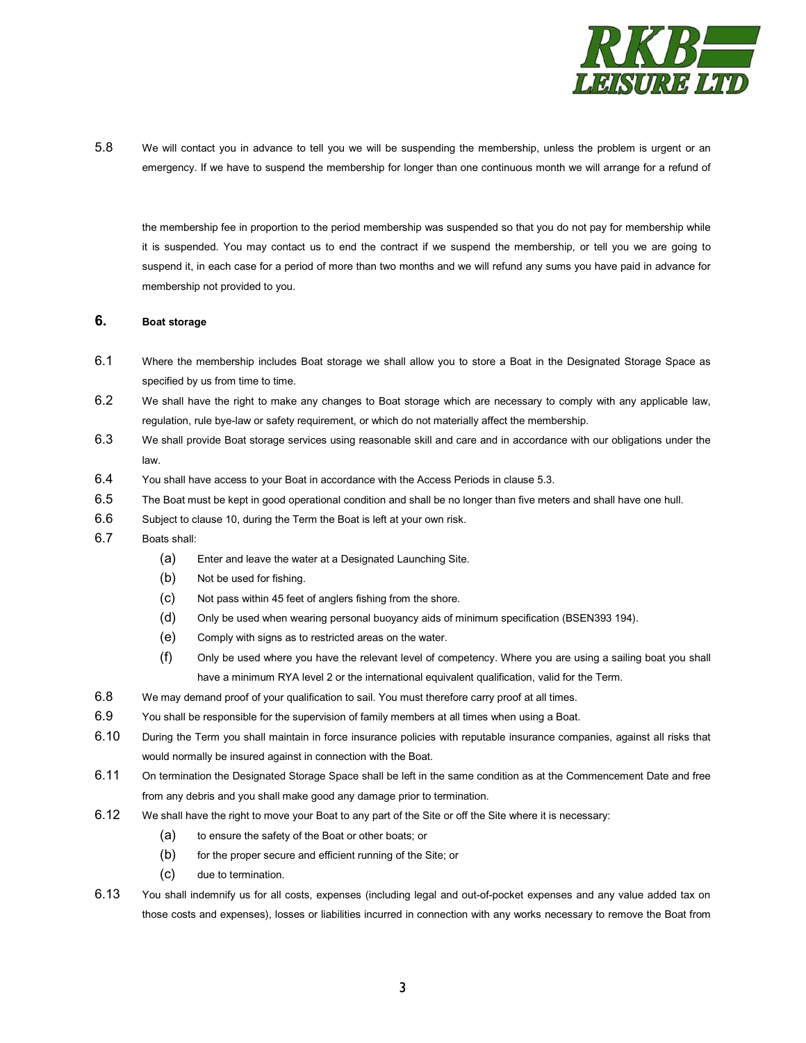

5.8 We will contact you in advance to tell you we will be suspending the membership, unless the problem is urgent or an emergency. If we have to suspend the membership for longer than one continuous month we will arrange for a refund of

the membership fee in proportion to the period membership was suspended so that you do not pay for membership while it is suspended. You may contact us to end the contract if we suspend the membership, or tell you we are going to suspend it, in each case for a period of more than two months and we will refund any sums you have paid in advance for membership not provided to you.

#### **6. Boat storage**

- 6.1 Where the membership includes Boat storage we shall allow you to store a Boat in the Designated Storage Space as specified by us from time to time.
- 6.2 We shall have the right to make any changes to Boat storage which are necessary to comply with any applicable law, regulation, rule bye-law or safety requirement, or which do not materially affect the membership.
- 6.3 We shall provide Boat storage services using reasonable skill and care and in accordance with our obligations under the law.
- 6.4 You shall have access to your Boat in accordance with the Access Periods in claus[e 5.3.](#page-1-0)
- 6.5 The Boat must be kept in good operational condition and shall be no longer than five meters and shall have one hull.
- 6.6 Subject to clause 10, during the Term the Boat is left at your own risk.
- 6.7 Boats shall:
	- (a) Enter and leave the water at a Designated Launching Site.
	- (b) Not be used for fishing.
	- (c) Not pass within 45 feet of anglers fishing from the shore.
	- (d) Only be used when wearing personal buoyancy aids of minimum specification (BSEN393 194).
	- (e) Comply with signs as to restricted areas on the water.
	- (f) Only be used where you have the relevant level of competency. Where you are using a sailing boat you shall have a minimum RYA level 2 or the international equivalent qualification, valid for the Term.
- 6.8 We may demand proof of your qualification to sail. You must therefore carry proof at all times.
- 6.9 You shall be responsible for the supervision of family members at all times when using a Boat.
- 6.10 During the Term you shall maintain in force insurance policies with reputable insurance companies, against all risks that would normally be insured against in connection with the Boat.
- 6.11 On termination the Designated Storage Space shall be left in the same condition as at the Commencement Date and free from any debris and you shall make good any damage prior to termination.
- 6.12 We shall have the right to move your Boat to any part of the Site or off the Site where it is necessary:
	- (a) to ensure the safety of the Boat or other boats; or
	- (b) for the proper secure and efficient running of the Site; or
	- (c) due to termination.
- 6.13 You shall indemnify us for all costs, expenses (including legal and out-of-pocket expenses and any value added tax on those costs and expenses), losses or liabilities incurred in connection with any works necessary to remove the Boat from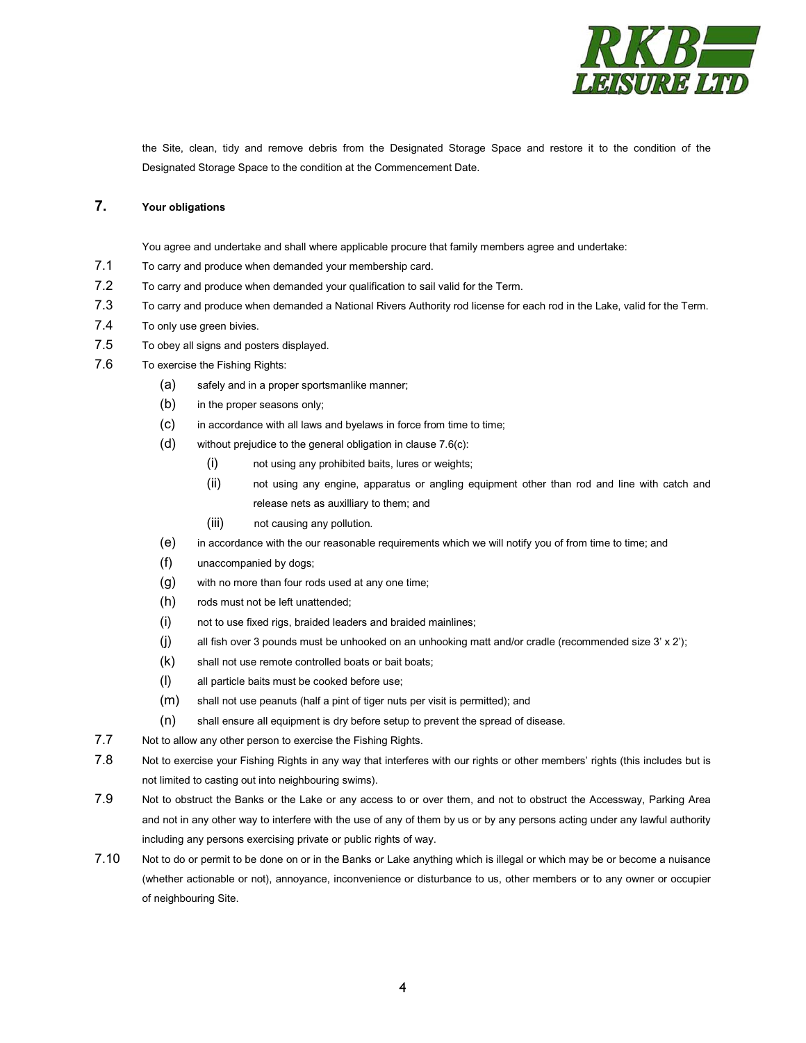

the Site, clean, tidy and remove debris from the Designated Storage Space and restore it to the condition of the Designated Storage Space to the condition at the Commencement Date.

## **7. Your obligations**

You agree and undertake and shall where applicable procure that family members agree and undertake:

- 7.1 To carry and produce when demanded your membership card.
- 7.2 To carry and produce when demanded your qualification to sail valid for the Term.
- 7.3 To carry and produce when demanded a National Rivers Authority rod license for each rod in the Lake, valid for the Term.
- 7.4 To only use green bivies.
- 7.5 To obey all signs and posters displayed.
- <span id="page-3-1"></span><span id="page-3-0"></span>7.6 To exercise the Fishing Rights:
	- (a) safely and in a proper sportsmanlike manner;
	- (b) in the proper seasons only;
	- (c) in accordance with all laws and byelaws in force from time to time;
	- (d) without prejudice to the general obligation in claus[e 7.6](#page-3-0)[\(c\):](#page-3-1)
		- (i) not using any prohibited baits, lures or weights;
		- (ii) not using any engine, apparatus or angling equipment other than rod and line with catch and release nets as auxilliary to them; and
		- (iii) not causing any pollution.
	- (e) in accordance with the our reasonable requirements which we will notify you of from time to time; and
	- (f) unaccompanied by dogs;
	- (g) with no more than four rods used at any one time;
	- (h) rods must not be left unattended;
	- (i) not to use fixed rigs, braided leaders and braided mainlines;
	- $(j)$  all fish over 3 pounds must be unhooked on an unhooking matt and/or cradle (recommended size 3' x 2');
	- (k) shall not use remote controlled boats or bait boats;
	- (l) all particle baits must be cooked before use;
	- (m) shall not use peanuts (half a pint of tiger nuts per visit is permitted); and
	- (n) shall ensure all equipment is dry before setup to prevent the spread of disease.
- 7.7 Not to allow any other person to exercise the Fishing Rights.
- 7.8 Not to exercise your Fishing Rights in any way that interferes with our rights or other members' rights (this includes but is not limited to casting out into neighbouring swims).
- 7.9 Not to obstruct the Banks or the Lake or any access to or over them, and not to obstruct the Accessway, Parking Area and not in any other way to interfere with the use of any of them by us or by any persons acting under any lawful authority including any persons exercising private or public rights of way.
- 7.10 Not to do or permit to be done on or in the Banks or Lake anything which is illegal or which may be or become a nuisance (whether actionable or not), annoyance, inconvenience or disturbance to us, other members or to any owner or occupier of neighbouring Site.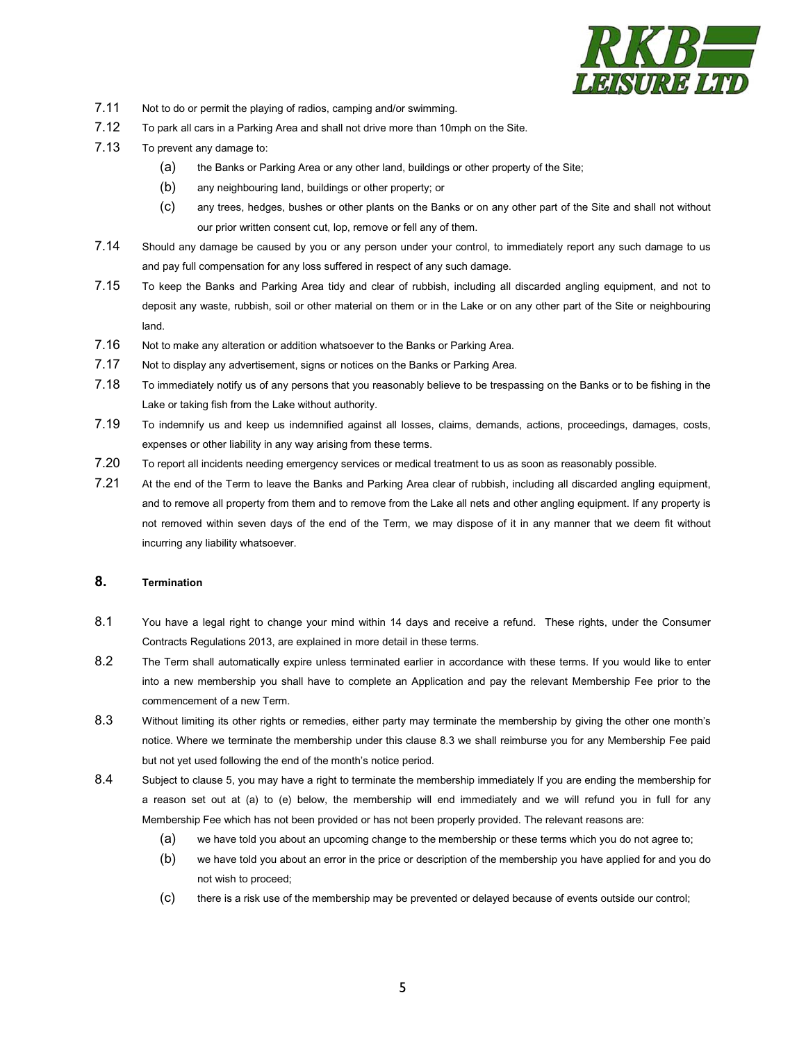

- 7.11 Not to do or permit the playing of radios, camping and/or swimming.
- 7.12 To park all cars in a Parking Area and shall not drive more than 10mph on the Site.
- 7.13 To prevent any damage to:
	- (a) the Banks or Parking Area or any other land, buildings or other property of the Site;
	- (b) any neighbouring land, buildings or other property; or
	- (c) any trees, hedges, bushes or other plants on the Banks or on any other part of the Site and shall not without our prior written consent cut, lop, remove or fell any of them.
- 7.14 Should any damage be caused by you or any person under your control, to immediately report any such damage to us and pay full compensation for any loss suffered in respect of any such damage.
- 7.15 To keep the Banks and Parking Area tidy and clear of rubbish, including all discarded angling equipment, and not to deposit any waste, rubbish, soil or other material on them or in the Lake or on any other part of the Site or neighbouring land.
- 7.16 Not to make any alteration or addition whatsoever to the Banks or Parking Area.
- 7.17 Not to display any advertisement, signs or notices on the Banks or Parking Area.
- 7.18 To immediately notify us of any persons that you reasonably believe to be trespassing on the Banks or to be fishing in the Lake or taking fish from the Lake without authority.
- 7.19 To indemnify us and keep us indemnified against all losses, claims, demands, actions, proceedings, damages, costs, expenses or other liability in any way arising from these terms.
- 7.20 To report all incidents needing emergency services or medical treatment to us as soon as reasonably possible.
- 7.21 At the end of the Term to leave the Banks and Parking Area clear of rubbish, including all discarded angling equipment, and to remove all property from them and to remove from the Lake all nets and other angling equipment. If any property is not removed within seven days of the end of the Term, we may dispose of it in any manner that we deem fit without incurring any liability whatsoever.

## <span id="page-4-0"></span>**8. Termination**

- 8.1 You have a legal right to change your mind within 14 days and receive a refund. These rights, under the Consumer Contracts Regulations 2013, are explained in more detail in these terms.
- 8.2 The Term shall automatically expire unless terminated earlier in accordance with these terms. If you would like to enter into a new membership you shall have to complete an Application and pay the relevant Membership Fee prior to the commencement of a new Term.
- 8.3 Without limiting its other rights or remedies, either party may terminate the membership by giving the other one month's notice. Where we terminate the membership under this clause 8.3 we shall reimburse you for any Membership Fee paid but not yet used following the end of the month's notice period.
- 8.4 Subject to clause 5, you may have a right to terminate the membership immediately If you are ending the membership for a reason set out at (a) to (e) below, the membership will end immediately and we will refund you in full for any Membership Fee which has not been provided or has not been properly provided. The relevant reasons are:
	- (a) we have told you about an upcoming change to the membership or these terms which you do not agree to;
	- (b) we have told you about an error in the price or description of the membership you have applied for and you do not wish to proceed;
	- (c) there is a risk use of the membership may be prevented or delayed because of events outside our control;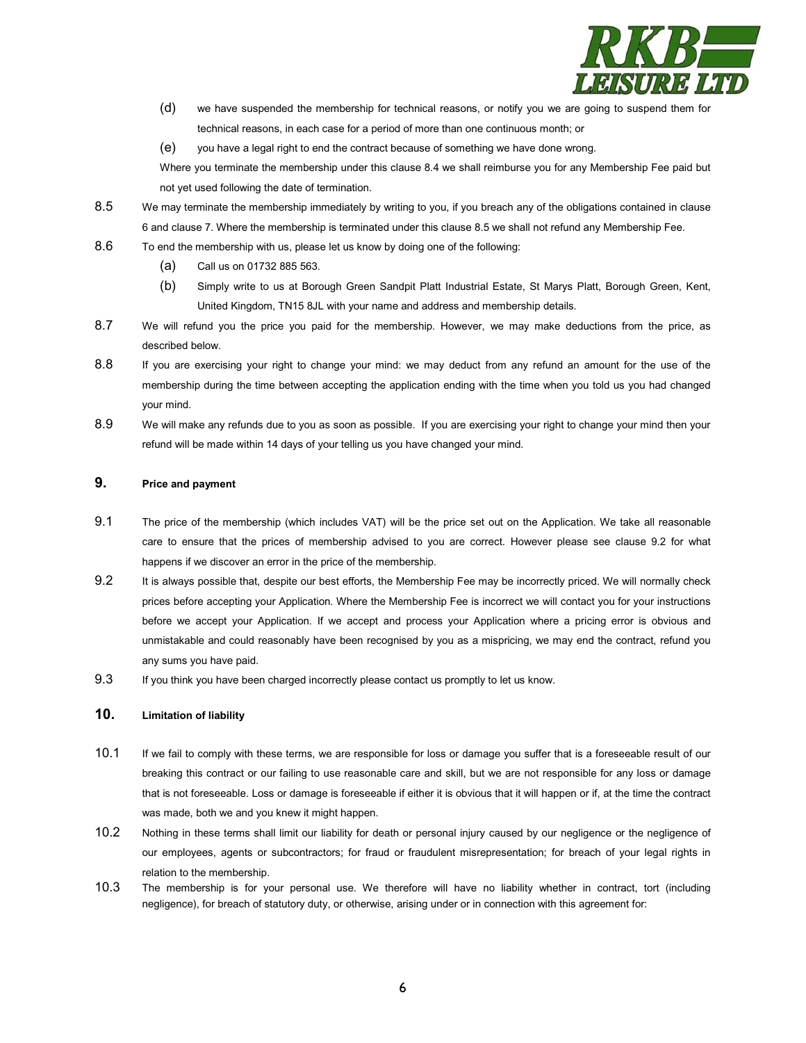

- (d) we have suspended the membership for technical reasons, or notify you we are going to suspend them for technical reasons, in each case for a period of more than one continuous month; or
- (e) you have a legal right to end the contract because of something we have done wrong.

Where you terminate the membership under this clause 8.4 we shall reimburse you for any Membership Fee paid but not yet used following the date of termination.

- 8.5 We may terminate the membership immediately by writing to you, if you breach any of the obligations contained in clause 6 and clause 7. Where the membership is terminated under this clause 8.5 we shall not refund any Membership Fee.
- 8.6 To end the membership with us, please let us know by doing one of the following:
	- (a) Call us on 01732 885 563.
	- (b) Simply write to us at Borough Green Sandpit Platt Industrial Estate, St Marys Platt, Borough Green, Kent, United Kingdom, TN15 8JL with your name and address and membership details.
- 8.7 We will refund you the price you paid for the membership. However, we may make deductions from the price, as described below.
- 8.8 If you are exercising your right to change your mind: we may deduct from any refund an amount for the use of the membership during the time between accepting the application ending with the time when you told us you had changed your mind.
- 8.9 We will make any refunds due to you as soon as possible. If you are exercising your right to change your mind then your refund will be made within 14 days of your telling us you have changed your mind.

## **9. Price and payment**

- 9.1 The price of the membership (which includes VAT) will be the price set out on the Application. We take all reasonable care to ensure that the prices of membership advised to you are correct. However please see clause [9.2](#page-5-0) for what happens if we discover an error in the price of the membership.
- <span id="page-5-0"></span>9.2 It is always possible that, despite our best efforts, the Membership Fee may be incorrectly priced. We will normally check prices before accepting your Application. Where the Membership Fee is incorrect we will contact you for your instructions before we accept your Application. If we accept and process your Application where a pricing error is obvious and unmistakable and could reasonably have been recognised by you as a mispricing, we may end the contract, refund you any sums you have paid.
- 9.3 If you think you have been charged incorrectly please contact us promptly to let us know.

## **10. Limitation of liability**

- 10.1 If we fail to comply with these terms, we are responsible for loss or damage you suffer that is a foreseeable result of our breaking this contract or our failing to use reasonable care and skill, but we are not responsible for any loss or damage that is not foreseeable. Loss or damage is foreseeable if either it is obvious that it will happen or if, at the time the contract was made, both we and you knew it might happen.
- 10.2 Nothing in these terms shall limit our liability for death or personal injury caused by our negligence or the negligence of our employees, agents or subcontractors; for fraud or fraudulent misrepresentation; for breach of your legal rights in relation to the membership.
- 10.3 The membership is for your personal use. We therefore will have no liability whether in contract, tort (including negligence), for breach of statutory duty, or otherwise, arising under or in connection with this agreement for: